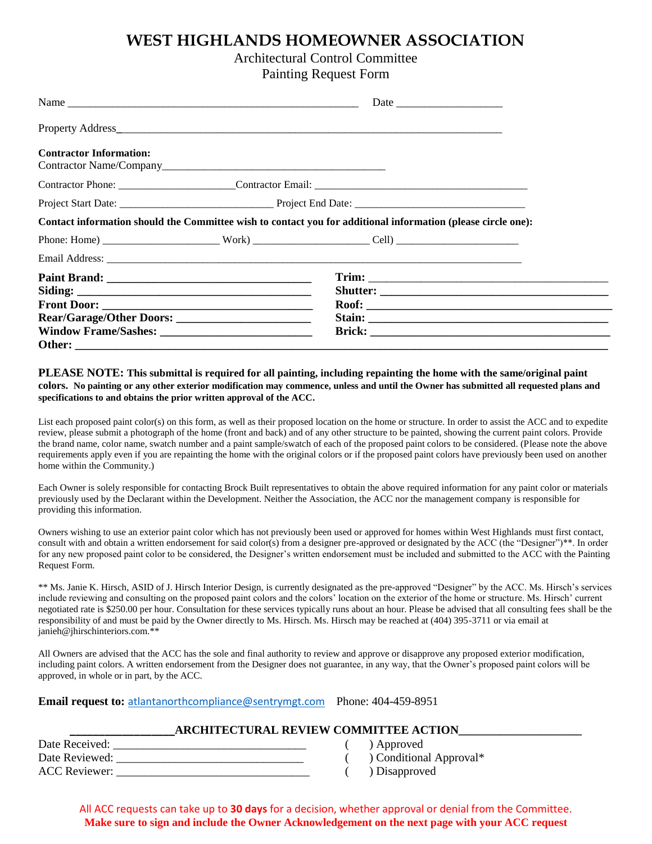# **WEST HIGHLANDS HOMEOWNER ASSOCIATION**

## Architectural Control Committee

Painting Request Form

| Name                           |  |                                                                                                              |  |
|--------------------------------|--|--------------------------------------------------------------------------------------------------------------|--|
|                                |  |                                                                                                              |  |
| <b>Contractor Information:</b> |  |                                                                                                              |  |
|                                |  |                                                                                                              |  |
|                                |  |                                                                                                              |  |
|                                |  | Contact information should the Committee wish to contact you for additional information (please circle one): |  |
|                                |  |                                                                                                              |  |
|                                |  |                                                                                                              |  |
|                                |  |                                                                                                              |  |
|                                |  |                                                                                                              |  |

### **PLEASE NOTE: This submittal is required for all painting, including repainting the home with the same/original paint colors. No painting or any other exterior modification may commence, unless and until the Owner has submitted all requested plans and specifications to and obtains the prior written approval of the ACC.**

List each proposed paint color(s) on this form, as well as their proposed location on the home or structure. In order to assist the ACC and to expedite review, please submit a photograph of the home (front and back) and of any other structure to be painted, showing the current paint colors. Provide the brand name, color name, swatch number and a paint sample/swatch of each of the proposed paint colors to be considered. (Please note the above requirements apply even if you are repainting the home with the original colors or if the proposed paint colors have previously been used on another home within the Community.)

Each Owner is solely responsible for contacting Brock Built representatives to obtain the above required information for any paint color or materials previously used by the Declarant within the Development. Neither the Association, the ACC nor the management company is responsible for providing this information.

Owners wishing to use an exterior paint color which has not previously been used or approved for homes within West Highlands must first contact, consult with and obtain a written endorsement for said color(s) from a designer pre-approved or designated by the ACC (the "Designer")<sup>\*\*</sup>. In order for any new proposed paint color to be considered, the Designer's written endorsement must be included and submitted to the ACC with the Painting Request Form.

\*\* Ms. Janie K. Hirsch, ASID of J. Hirsch Interior Design, is currently designated as the pre-approved "Designer" by the ACC. Ms. Hirsch's services include reviewing and consulting on the proposed paint colors and the colors' location on the exterior of the home or structure. Ms. Hirsch' current negotiated rate is \$250.00 per hour. Consultation for these services typically runs about an hour. Please be advised that all consulting fees shall be the responsibility of and must be paid by the Owner directly to Ms. Hirsch. Ms. Hirsch may be reached at (404) 395-3711 or via email at janieh@jhirschinteriors.com.\*\*

All Owners are advised that the ACC has the sole and final authority to review and approve or disapprove any proposed exterior modification, including paint colors. A written endorsement from the Designer does not guarantee, in any way, that the Owner's proposed paint colors will be approved, in whole or in part, by the ACC.

### **Email request to:** [atlantanorthcompliance@sentrymgt.com](mailto:atlantanorthcompliance@sentrymgt.com) Phone: 404-459-8951

## **\_\_\_\_\_\_\_\_\_\_\_\_\_\_\_\_\_\_ARCHITECTURAL REVIEW COMMITTEE ACTION\_\_\_\_\_\_\_\_\_\_\_\_\_\_\_\_\_\_\_\_\_**

| Date Received:       |  |
|----------------------|--|
| Date Reviewed:       |  |
| <b>ACC</b> Reviewer: |  |

- ) Approved
- ( ) Conditional Approval\*
- $\sum_{i=1}^{n}$  Disapproved

All ACC requests can take up to **30 days** for a decision, whether approval or denial from the Committee. **Make sure to sign and include the Owner Acknowledgement on the next page with your ACC request**